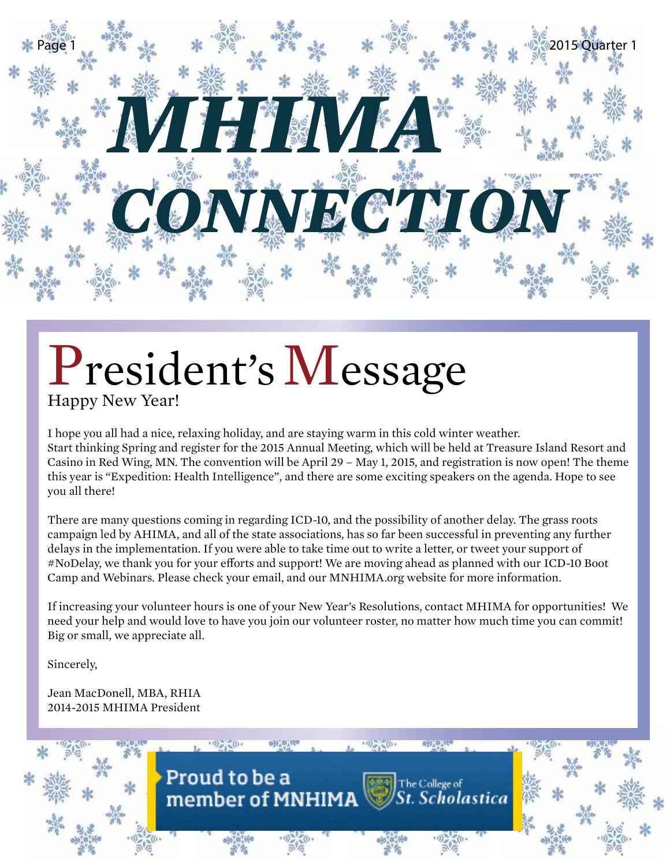

# President's Message

I hope you all had a nice, relaxing holiday, and are staying warm in this cold winter weather. Start thinking Spring and register for the 2015 Annual Meeting, which will be held at Treasure Island Resort and Casino in Red Wing, MN. The convention will be April 29 – May 1, 2015, and registration is now open! The theme this year is "Expedition: Health Intelligence", and there are some exciting speakers on the agenda. Hope to see you all there!

There are many questions coming in regarding ICD-10, and the possibility of another delay. The grass roots campaign led by AHIMA, and all of the state associations, has so far been successful in preventing any further delays in the implementation. If you were able to take time out to write a letter, or tweet your support of #NoDelay, we thank you for your efforts and support! We are moving ahead as planned with our ICD-10 Boot Camp and Webinars. Please check your email, and our MNHIMA.org website for more information.

If increasing your volunteer hours is one of your New Year's Resolutions, contact MHIMA for opportunities! We need your help and would love to have you join our volunteer roster, no matter how much time you can commit! Big or small, we appreciate all.

Sincerely,

Jean MacDonell, MBA, RHIA 2014-2015 MHIMA President

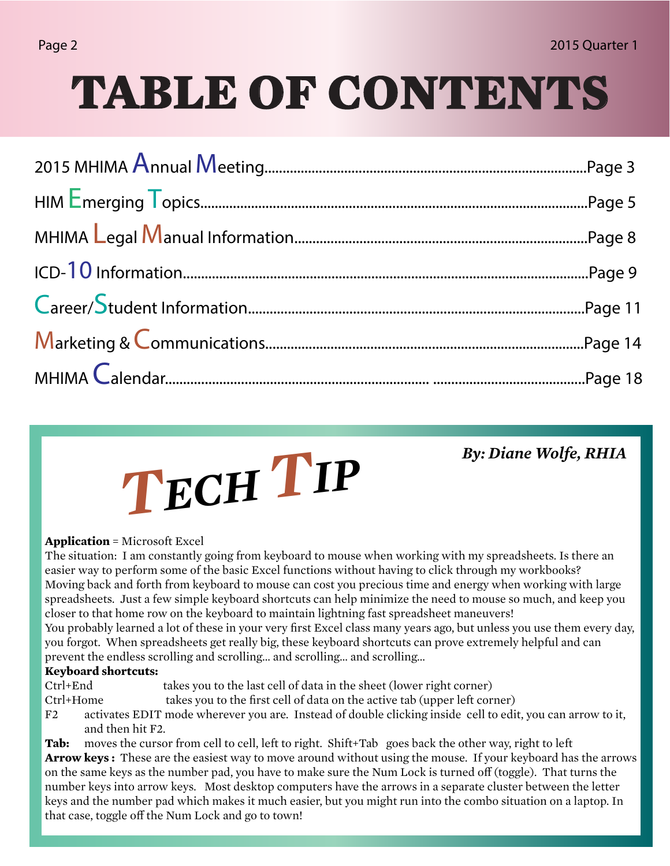## **TABLE OF CONTENTS**

# *By: Diane Wolfe, RHIA*<br> *FCH TP*

### **Application** = Microsoft Excel

The situation: I am constantly going from keyboard to mouse when working with my spreadsheets. Is there an easier way to perform some of the basic Excel functions without having to click through my workbooks? Moving back and forth from keyboard to mouse can cost you precious time and energy when working with large spreadsheets. Just a few simple keyboard shortcuts can help minimize the need to mouse so much, and keep you closer to that home row on the keyboard to maintain lightning fast spreadsheet maneuvers!

You probably learned a lot of these in your very first Excel class many years ago, but unless you use them every day, you forgot. When spreadsheets get really big, these keyboard shortcuts can prove extremely helpful and can prevent the endless scrolling and scrolling… and scrolling… and scrolling…

### **Keyboard shortcuts:**

Ctrl+End takes you to the last cell of data in the sheet (lower right corner)

- Ctrl+Home takes you to the first cell of data on the active tab (upper left corner)
- F2 activates EDIT mode wherever you are. Instead of double clicking inside cell to edit, you can arrow to it, and then hit F2.

**Tab:** moves the cursor from cell to cell, left to right. Shift+Tab goes back the other way, right to left **Arrow keys :** These are the easiest way to move around without using the mouse. If your keyboard has the arrows on the same keys as the number pad, you have to make sure the Num Lock is turned off (toggle). That turns the number keys into arrow keys. Most desktop computers have the arrows in a separate cluster between the letter keys and the number pad which makes it much easier, but you might run into the combo situation on a laptop. In that case, toggle off the Num Lock and go to town!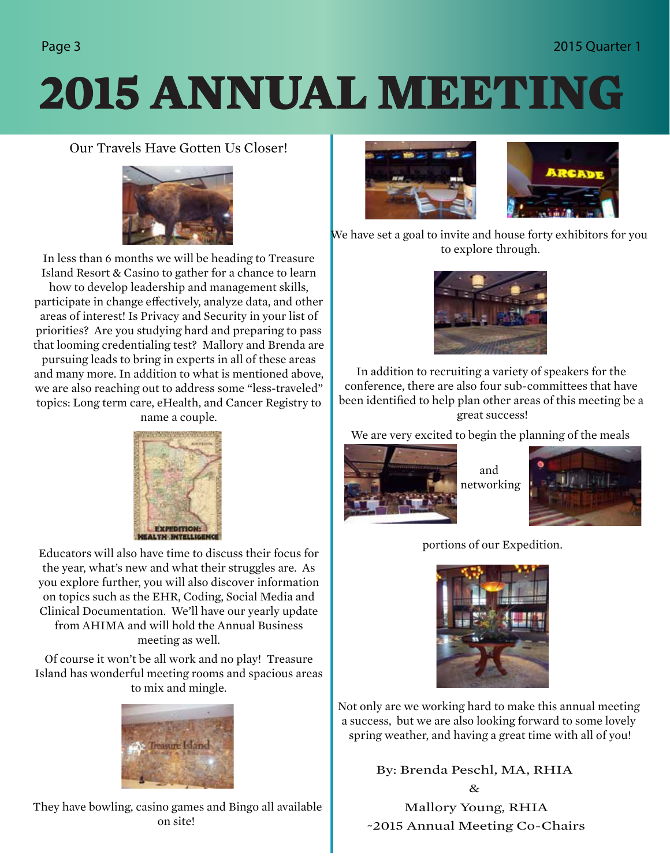### Page 3 2015 Quarter 1

## **2015 ANNUAL MEETING**

### Our Travels Have Gotten Us Closer!



In less than 6 months we will be heading to Treasure Island Resort & Casino to gather for a chance to learn how to develop leadership and management skills, participate in change effectively, analyze data, and other areas of interest! Is Privacy and Security in your list of priorities? Are you studying hard and preparing to pass that looming credentialing test? Mallory and Brenda are pursuing leads to bring in experts in all of these areas and many more. In addition to what is mentioned above, we are also reaching out to address some "less-traveled" topics: Long term care, eHealth, and Cancer Registry to name a couple.



Educators will also have time to discuss their focus for the year, what's new and what their struggles are. As you explore further, you will also discover information on topics such as the EHR, Coding, Social Media and Clinical Documentation. We'll have our yearly update from AHIMA and will hold the Annual Business meeting as well.

Of course it won't be all work and no play! Treasure Island has wonderful meeting rooms and spacious areas to mix and mingle.



They have bowling, casino games and Bingo all available on site!



We have set a goal to invite and house forty exhibitors for you to explore through.



In addition to recruiting a variety of speakers for the conference, there are also four sub-committees that have been identified to help plan other areas of this meeting be a great success!

We are very excited to begin the planning of the meals



and networking



portions of our Expedition.



Not only are we working hard to make this annual meeting a success, but we are also looking forward to some lovely spring weather, and having a great time with all of you!

> By: Brenda Peschl, MA, RHIA  $\mathcal{R}$

Mallory Young, RHIA ~2015 Annual Meeting Co-Chairs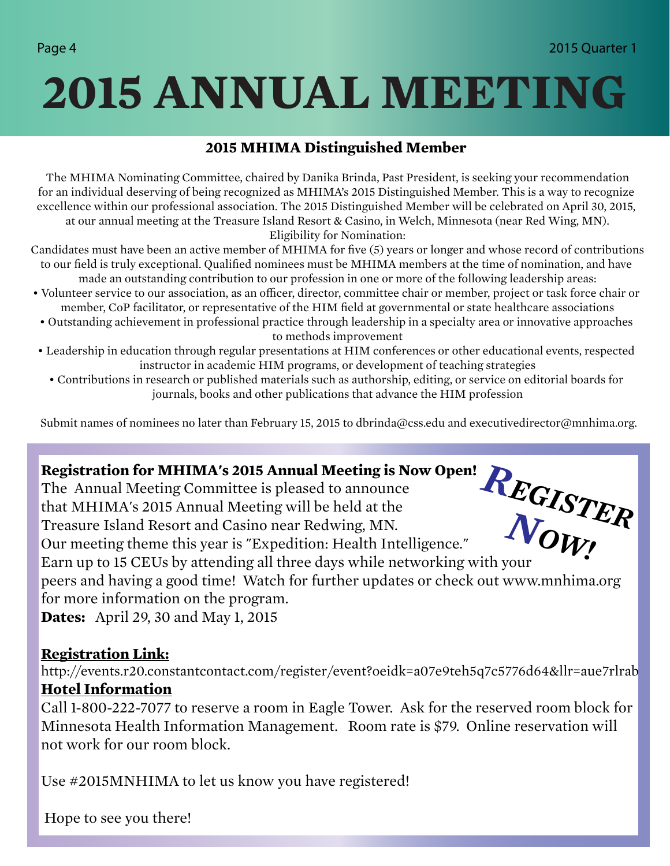## **2015 ANNUAL MEETING**

### **2015 MHIMA Distinguished Member**

 The MHIMA Nominating Committee, chaired by Danika Brinda, Past President, is seeking your recommendation for an individual deserving of being recognized as MHIMA's 2015 Distinguished Member. This is a way to recognize excellence within our professional association. The 2015 Distinguished Member will be celebrated on April 30, 2015, at our annual meeting at the Treasure Island Resort & Casino, in Welch, Minnesota (near Red Wing, MN). Eligibility for Nomination:

 Candidates must have been an active member of MHIMA for five (5) years or longer and whose record of contributions to our field is truly exceptional. Qualified nominees must be MHIMA members at the time of nomination, and have made an outstanding contribution to our profession in one or more of the following leadership areas:

- Volunteer service to our association, as an officer, director, committee chair or member, project or task force chair or member, CoP facilitator, or representative of the HIM field at governmental or state healthcare associations
	- Outstanding achievement in professional practice through leadership in a specialty area or innovative approaches to methods improvement
- Leadership in education through regular presentations at HIM conferences or other educational events, respected instructor in academic HIM programs, or development of teaching strategies
	- Contributions in research or published materials such as authorship, editing, or service on editorial boards for journals, books and other publications that advance the HIM profession

Submit names of nominees no later than February 15, 2015 to dbrinda@css.edu and executivedirector@mnhima.org.

### **Registration for MHIMA's 2015 Annual Meeting is Now Open!**

Our meeting theme this year is "Expedition: Health Intelligence."

The Annual Meeting Committee is pleased to announce that MHIMA's 2015 Annual Meeting will be held at the Treasure Island Resort and Casino near Redwing, MN.



Earn up to 15 CEUs by attending all three days while networking with your

peers and having a good time! Watch for further updates or check out www.mnhima.org for more information on the program.

**Dates:** April 29, 30 and May 1, 2015

### **Registration Link:**

http://events.r20.constantcontact.com/register/event?oeidk=a07e9teh5q7c5776d64&llr=aue7rlrab **Hotel Information**

Call 1-800-222-7077 to reserve a room in Eagle Tower. Ask for the reserved room block for Minnesota Health Information Management. Room rate is \$79. Online reservation will not work for our room block.

Use #2015MNHIMA to let us know you have registered!

Hope to see you there!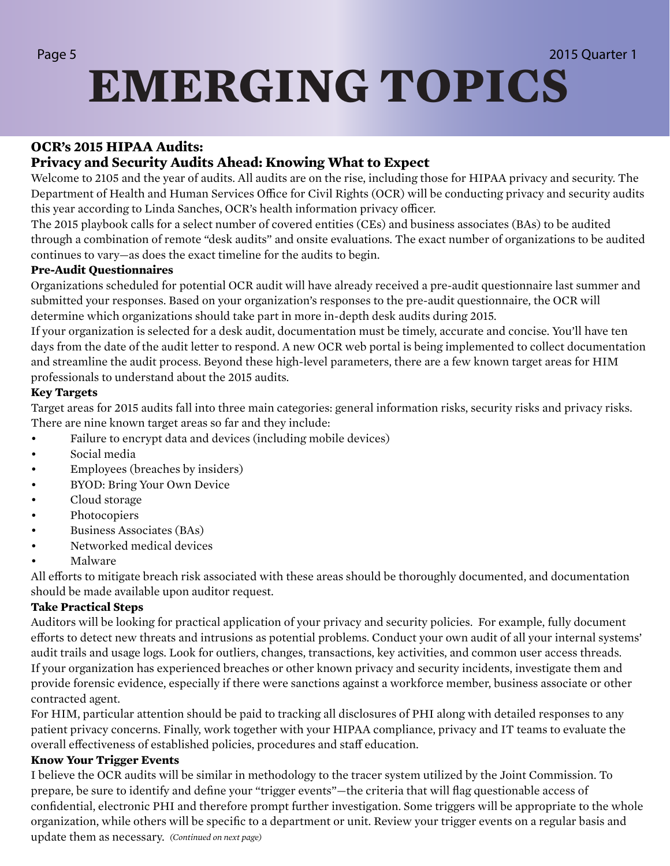## Page 5 2015 Quarter 1 **EMERGING TOPICS**

### **OCR's 2015 HIPAA Audits:**

### **Privacy and Security Audits Ahead: Knowing What to Expect**

Welcome to 2105 and the year of audits. All audits are on the rise, including those for HIPAA privacy and security. The Department of Health and Human Services Office for Civil Rights (OCR) will be conducting privacy and security audits this year according to Linda Sanches, OCR's health information privacy officer.

The 2015 playbook calls for a select number of covered entities (CEs) and business associates (BAs) to be audited through a combination of remote "desk audits" and onsite evaluations. The exact number of organizations to be audited continues to vary—as does the exact timeline for the audits to begin.

### **Pre-Audit Questionnaires**

Organizations scheduled for potential OCR audit will have already received a pre-audit questionnaire last summer and submitted your responses. Based on your organization's responses to the pre-audit questionnaire, the OCR will determine which organizations should take part in more in-depth desk audits during 2015.

If your organization is selected for a desk audit, documentation must be timely, accurate and concise. You'll have ten days from the date of the audit letter to respond. A new OCR web portal is being implemented to collect documentation and streamline the audit process. Beyond these high-level parameters, there are a few known target areas for HIM professionals to understand about the 2015 audits.

### **Key Targets**

Target areas for 2015 audits fall into three main categories: general information risks, security risks and privacy risks. There are nine known target areas so far and they include:

- Failure to encrypt data and devices (including mobile devices)
- Social media
- Employees (breaches by insiders)
- BYOD: Bring Your Own Device
- Cloud storage
- Photocopiers
- Business Associates (BAs)
- Networked medical devices
- Malware

All efforts to mitigate breach risk associated with these areas should be thoroughly documented, and documentation should be made available upon auditor request.

### **Take Practical Steps**

Auditors will be looking for practical application of your privacy and security policies. For example, fully document efforts to detect new threats and intrusions as potential problems. Conduct your own audit of all your internal systems' audit trails and usage logs. Look for outliers, changes, transactions, key activities, and common user access threads. If your organization has experienced breaches or other known privacy and security incidents, investigate them and provide forensic evidence, especially if there were sanctions against a workforce member, business associate or other contracted agent.

For HIM, particular attention should be paid to tracking all disclosures of PHI along with detailed responses to any patient privacy concerns. Finally, work together with your HIPAA compliance, privacy and IT teams to evaluate the overall effectiveness of established policies, procedures and staff education.

### **Know Your Trigger Events**

I believe the OCR audits will be similar in methodology to the tracer system utilized by the Joint Commission. To prepare, be sure to identify and define your "trigger events"—the criteria that will flag questionable access of confidential, electronic PHI and therefore prompt further investigation. Some triggers will be appropriate to the whole organization, while others will be specific to a department or unit. Review your trigger events on a regular basis and update them as necessary. *(Continued on next page)*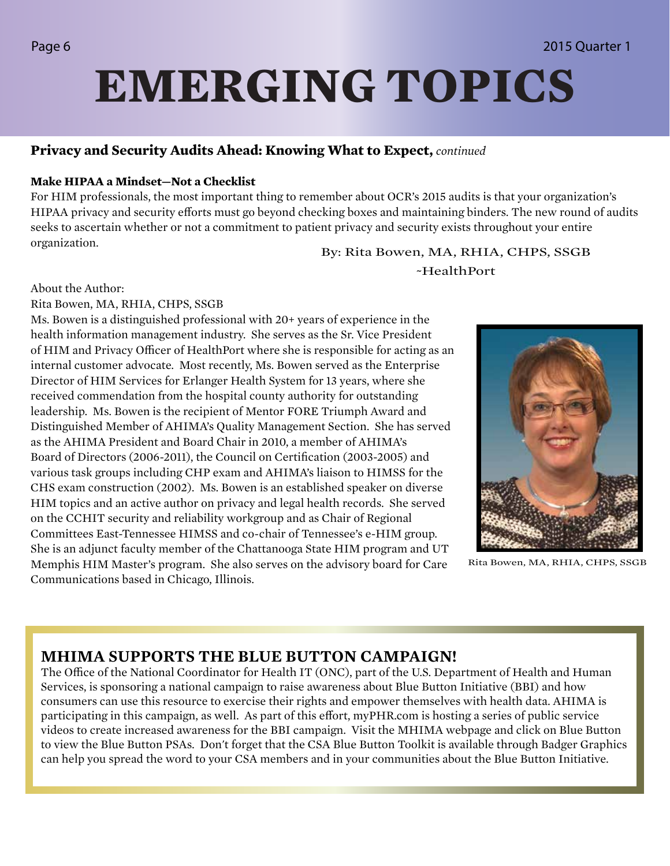## **EMERGING TOPICS**

### **Privacy and Security Audits Ahead: Knowing What to Expect,** *continued*

### **Make HIPAA a Mindset—Not a Checklist**

For HIM professionals, the most important thing to remember about OCR's 2015 audits is that your organization's HIPAA privacy and security efforts must go beyond checking boxes and maintaining binders. The new round of audits seeks to ascertain whether or not a commitment to patient privacy and security exists throughout your entire organization.

By: Rita Bowen, MA, RHIA, CHPS, SSGB ~HealthPort

About the Author:

### Rita Bowen, MA, RHIA, CHPS, SSGB

Ms. Bowen is a distinguished professional with 20+ years of experience in the health information management industry. She serves as the Sr. Vice President of HIM and Privacy Officer of HealthPort where she is responsible for acting as an internal customer advocate. Most recently, Ms. Bowen served as the Enterprise Director of HIM Services for Erlanger Health System for 13 years, where she received commendation from the hospital county authority for outstanding leadership. Ms. Bowen is the recipient of Mentor FORE Triumph Award and Distinguished Member of AHIMA's Quality Management Section. She has served as the AHIMA President and Board Chair in 2010, a member of AHIMA's Board of Directors (2006-2011), the Council on Certification (2003-2005) and various task groups including CHP exam and AHIMA's liaison to HIMSS for the CHS exam construction (2002). Ms. Bowen is an established speaker on diverse HIM topics and an active author on privacy and legal health records. She served on the CCHIT security and reliability workgroup and as Chair of Regional Committees East-Tennessee HIMSS and co-chair of Tennessee's e-HIM group. She is an adjunct faculty member of the Chattanooga State HIM program and UT Memphis HIM Master's program. She also serves on the advisory board for Care Communications based in Chicago, Illinois.



Rita Bowen, MA, RHIA, CHPS, SSGB

### **MHIMA SUPPORTS THE BLUE BUTTON CAMPAIGN!**

The Office of the National Coordinator for Health IT (ONC), part of the U.S. Department of Health and Human Services, is sponsoring a national campaign to raise awareness about Blue Button Initiative (BBI) and how consumers can use this resource to exercise their rights and empower themselves with health data. AHIMA is participating in this campaign, as well. As part of this effort, myPHR.com is hosting a series of public service videos to create increased awareness for the BBI campaign. Visit the MHIMA webpage and click on Blue Button to view the Blue Button PSAs. Don't forget that the CSA Blue Button Toolkit is available through Badger Graphics can help you spread the word to your CSA members and in your communities about the Blue Button Initiative.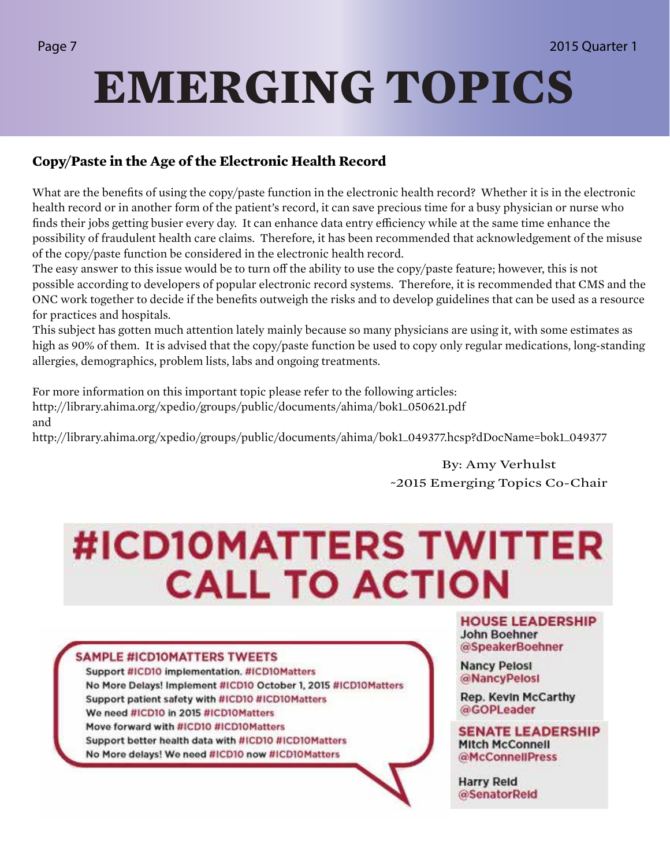## **EMERGING TOPICS**

### **Copy/Paste in the Age of the Electronic Health Record**

What are the benefits of using the copy/paste function in the electronic health record? Whether it is in the electronic health record or in another form of the patient's record, it can save precious time for a busy physician or nurse who finds their jobs getting busier every day. It can enhance data entry efficiency while at the same time enhance the possibility of fraudulent health care claims. Therefore, it has been recommended that acknowledgement of the misuse of the copy/paste function be considered in the electronic health record.

The easy answer to this issue would be to turn off the ability to use the copy/paste feature; however, this is not possible according to developers of popular electronic record systems. Therefore, it is recommended that CMS and the ONC work together to decide if the benefits outweigh the risks and to develop guidelines that can be used as a resource for practices and hospitals.

This subject has gotten much attention lately mainly because so many physicians are using it, with some estimates as high as 90% of them. It is advised that the copy/paste function be used to copy only regular medications, long-standing allergies, demographics, problem lists, labs and ongoing treatments.

For more information on this important topic please refer to the following articles: http://library.ahima.org/xpedio/groups/public/documents/ahima/bok1\_050621.pdf and

http://library.ahima.org/xpedio/groups/public/documents/ahima/bok1\_049377.hcsp?dDocName=bok1\_049377

By: Amy Verhulst ~2015 Emerging Topics Co-Chair

## **#ICD10MATTERS TWITTER CALL TO ACTION**

### **SAMPLE #ICDIOMATTERS TWEETS**

Support #ICD10 implementation. #ICD10Matters No More Delays! Implement #ICD10 October 1, 2015 #ICD10Matters Support patient safety with #ICD10 #ICD10Matters We need #ICD10 in 2015 #ICD10Matters Move forward with #ICD10 #ICD10Matters Support better health data with #ICD10 #ICD10Matters No More delays! We need #ICD10 now #ICD10Matters

**HOUSE LEADERSHIP John Boehner** @SpeakerBoehner

**Nancy Pelosi** @NancyPelosl

Rep. Kevin McCarthy @GOPLeader

**SENATE LEADERSHIP Mitch McConnell** @McConnellPress

**Harry Reld** @SenatorReld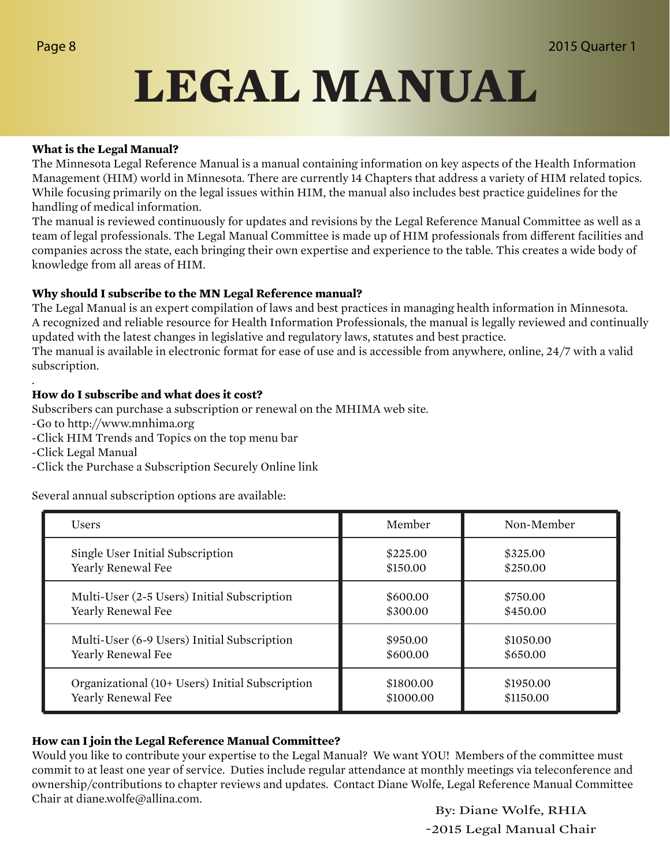## **LEGAL MANUAL**

### **What is the Legal Manual?**

The Minnesota Legal Reference Manual is a manual containing information on key aspects of the Health Information Management (HIM) world in Minnesota. There are currently 14 Chapters that address a variety of HIM related topics. While focusing primarily on the legal issues within HIM, the manual also includes best practice guidelines for the handling of medical information.

The manual is reviewed continuously for updates and revisions by the Legal Reference Manual Committee as well as a team of legal professionals. The Legal Manual Committee is made up of HIM professionals from different facilities and companies across the state, each bringing their own expertise and experience to the table. This creates a wide body of knowledge from all areas of HIM.

### **Why should I subscribe to the MN Legal Reference manual?**

The Legal Manual is an expert compilation of laws and best practices in managing health information in Minnesota. A recognized and reliable resource for Health Information Professionals, the manual is legally reviewed and continually updated with the latest changes in legislative and regulatory laws, statutes and best practice.

The manual is available in electronic format for ease of use and is accessible from anywhere, online, 24/7 with a valid subscription.

### **How do I subscribe and what does it cost?**

Subscribers can purchase a subscription or renewal on the MHIMA web site.

- -Go to http://www.mnhima.org
- -Click HIM Trends and Topics on the top menu bar
- -Click Legal Manual

.

-Click the Purchase a Subscription Securely Online link

Several annual subscription options are available:

| <b>Users</b>                                    | Member    | Non-Member |
|-------------------------------------------------|-----------|------------|
| Single User Initial Subscription                | \$225.00  | \$325.00   |
| Yearly Renewal Fee                              | \$150.00  | \$250.00   |
| Multi-User (2-5 Users) Initial Subscription     | \$600.00  | \$750.00   |
| Yearly Renewal Fee                              | \$300.00  | \$450.00   |
| Multi-User (6-9 Users) Initial Subscription     | \$950.00  | \$1050.00  |
| Yearly Renewal Fee                              | \$600.00  | \$650.00   |
| Organizational (10+ Users) Initial Subscription | \$1800.00 | \$1950.00  |
| Yearly Renewal Fee                              | \$1000.00 | \$1150.00  |

### **How can I join the Legal Reference Manual Committee?**

Would you like to contribute your expertise to the Legal Manual? We want YOU! Members of the committee must commit to at least one year of service. Duties include regular attendance at monthly meetings via teleconference and ownership/contributions to chapter reviews and updates. Contact Diane Wolfe, Legal Reference Manual Committee Chair at diane.wolfe@allina.com.

By: Diane Wolfe, RHIA ~2015 Legal Manual Chair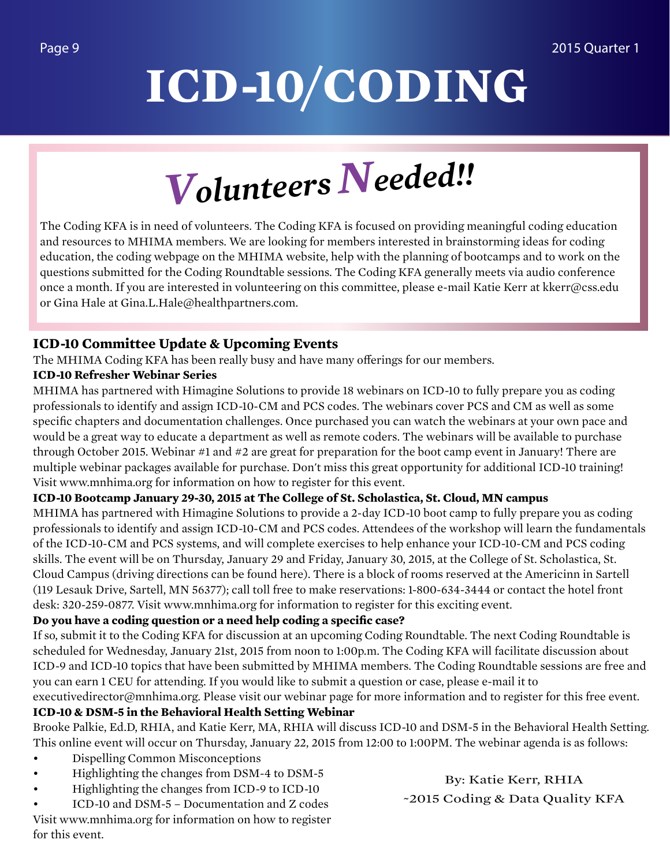# **ICD-10/CODING**

*Volunteers Needed!!* 

The Coding KFA is in need of volunteers. The Coding KFA is focused on providing meaningful coding education and resources to MHIMA members. We are looking for members interested in brainstorming ideas for coding education, the coding webpage on the MHIMA website, help with the planning of bootcamps and to work on the questions submitted for the Coding Roundtable sessions. The Coding KFA generally meets via audio conference once a month. If you are interested in volunteering on this committee, please e-mail Katie Kerr at kkerr@css.edu or Gina Hale at Gina.L.Hale@healthpartners.com.

### **ICD-10 Committee Update & Upcoming Events**

The MHIMA Coding KFA has been really busy and have many offerings for our members.

### **ICD-10 Refresher Webinar Series**

MHIMA has partnered with Himagine Solutions to provide 18 webinars on ICD-10 to fully prepare you as coding professionals to identify and assign ICD-10-CM and PCS codes. The webinars cover PCS and CM as well as some specific chapters and documentation challenges. Once purchased you can watch the webinars at your own pace and would be a great way to educate a department as well as remote coders. The webinars will be available to purchase through October 2015. Webinar #1 and #2 are great for preparation for the boot camp event in January! There are multiple webinar packages available for purchase. Don't miss this great opportunity for additional ICD-10 training! Visit www.mnhima.org for information on how to register for this event.

### **ICD-10 Bootcamp January 29-30, 2015 at The College of St. Scholastica, St. Cloud, MN campus**

MHIMA has partnered with Himagine Solutions to provide a 2-day ICD-10 boot camp to fully prepare you as coding professionals to identify and assign ICD-10-CM and PCS codes. Attendees of the workshop will learn the fundamentals of the ICD-10-CM and PCS systems, and will complete exercises to help enhance your ICD-10-CM and PCS coding skills. The event will be on Thursday, January 29 and Friday, January 30, 2015, at the College of St. Scholastica, St. Cloud Campus (driving directions can be found here). There is a block of rooms reserved at the Americinn in Sartell (119 Lesauk Drive, Sartell, MN 56377); call toll free to make reservations: 1-800-634-3444 or contact the hotel front desk: 320-259-0877. Visit www.mnhima.org for information to register for this exciting event.

### **Do you have a coding question or a need help coding a specific case?**

If so, submit it to the Coding KFA for discussion at an upcoming Coding Roundtable. The next Coding Roundtable is scheduled for Wednesday, January 21st, 2015 from noon to 1:00p.m. The Coding KFA will facilitate discussion about ICD-9 and ICD-10 topics that have been submitted by MHIMA members. The Coding Roundtable sessions are free and you can earn 1 CEU for attending. If you would like to submit a question or case, please e-mail it to

executivedirector@mnhima.org. Please visit our webinar page for more information and to register for this free event. **ICD-10 & DSM-5 in the Behavioral Health Setting Webinar**

Brooke Palkie, Ed.D, RHIA, and Katie Kerr, MA, RHIA will discuss ICD-10 and DSM-5 in the Behavioral Health Setting. This online event will occur on Thursday, January 22, 2015 from 12:00 to 1:00PM. The webinar agenda is as follows:

- Dispelling Common Misconceptions
- Highlighting the changes from DSM-4 to DSM-5
- Highlighting the changes from ICD-9 to ICD-10

• ICD-10 and DSM-5 – Documentation and Z codes Visit www.mnhima.org for information on how to register for this event.

By: Katie Kerr, RHIA ~2015 Coding & Data Quality KFA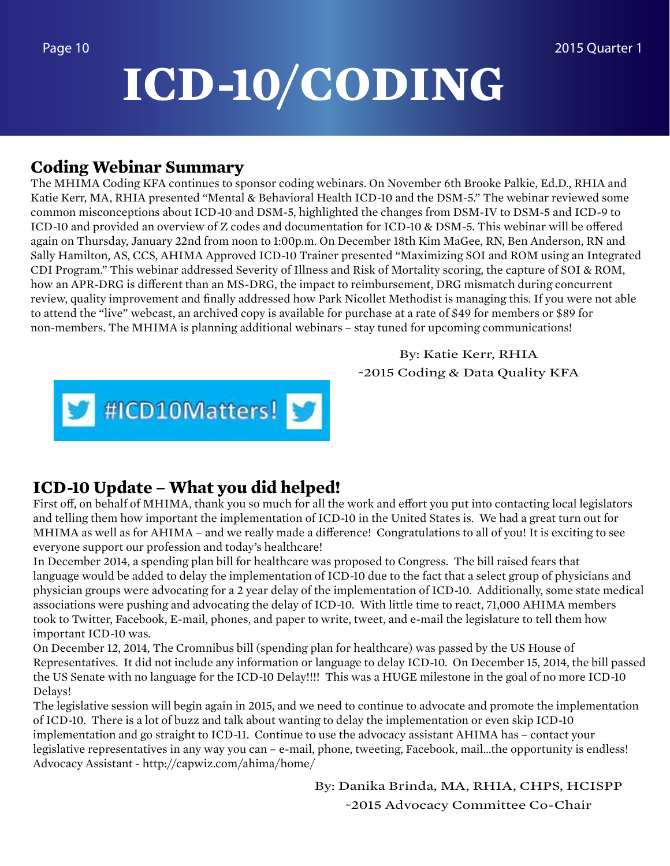## **ICD-10/CODING**

### **Coding Webinar Summary**

The MHIMA Coding KFA continues to sponsor coding webinars. On November 6th Brooke Palkie, Ed.D., RHIA and Katie Kerr, MA, RHIA presented "Mental & Behavioral Health ICD-10 and the DSM-5." The webinar reviewed some common misconceptions about ICD-10 and DSM-5, highlighted the changes from DSM-IV to DSM-5 and ICD-9 to ICD-10 and provided an overview of Z codes and documentation for ICD-10 & DSM-5. This webinar will be offered again on Thursday, January 22nd from noon to 1:00p.m. On December 18th Kim MaGee, RN, Ben Anderson, RN and Sally Hamilton, AS, CCS, AHIMA Approved ICD-10 Trainer presented "Maximizing SOI and ROM using an Integrated CDI Program." This webinar addressed Severity of Illness and Risk of Mortality scoring, the capture of SOI & ROM, how an APR-DRG is different than an MS-DRG, the impact to reimbursement, DRG mismatch during concurrent review, quality improvement and finally addressed how Park Nicollet Methodist is managing this. If you were not able to attend the "live" webcast, an archived copy is available for purchase at a rate of \$49 for members or \$89 for non-members. The MHIMA is planning additional webinars – stay tuned for upcoming communications!

> By: Katie Kerr, RHIA ~2015 Coding & Data Quality KFA



### **ICD-10 Update – What you did helped!**

First off, on behalf of MHIMA, thank you so much for all the work and effort you put into contacting local legislators and telling them how important the implementation of ICD-10 in the United States is. We had a great turn out for MHIMA as well as for AHIMA – and we really made a difference! Congratulations to all of you! It is exciting to see everyone support our profession and today's healthcare!

In December 2014, a spending plan bill for healthcare was proposed to Congress. The bill raised fears that language would be added to delay the implementation of ICD-10 due to the fact that a select group of physicians and physician groups were advocating for a 2 year delay of the implementation of ICD-10. Additionally, some state medical associations were pushing and advocating the delay of ICD-10. With little time to react, 71,000 AHIMA members took to Twitter, Facebook, E-mail, phones, and paper to write, tweet, and e-mail the legislature to tell them how important ICD-10 was.

On December 12, 2014, The Cromnibus bill (spending plan for healthcare) was passed by the US House of Representatives. It did not include any information or language to delay ICD-10. On December 15, 2014, the bill passed the US Senate with no language for the ICD-10 Delay!!!! This was a HUGE milestone in the goal of no more ICD-10 Delays!

The legislative session will begin again in 2015, and we need to continue to advocate and promote the implementation of ICD-10. There is a lot of buzz and talk about wanting to delay the implementation or even skip ICD-10 implementation and go straight to ICD-11. Continue to use the advocacy assistant AHIMA has – contact your legislative representatives in any way you can – e-mail, phone, tweeting, Facebook, mail…the opportunity is endless! Advocacy Assistant - http://capwiz.com/ahima/home/

> By: Danika Brinda, MA, RHIA, CHPS, HCISPP ~2015 Advocacy Committee Co-Chair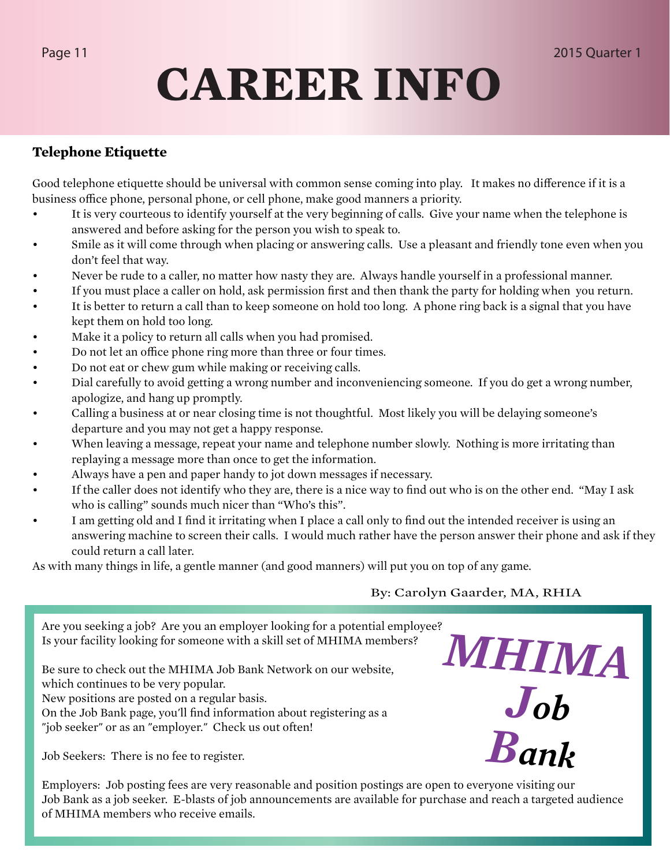## **CAREER INFO**

### **Telephone Etiquette**

Good telephone etiquette should be universal with common sense coming into play. It makes no difference if it is a business office phone, personal phone, or cell phone, make good manners a priority.

- It is very courteous to identify yourself at the very beginning of calls. Give your name when the telephone is answered and before asking for the person you wish to speak to.
- Smile as it will come through when placing or answering calls. Use a pleasant and friendly tone even when you don't feel that way.
- Never be rude to a caller, no matter how nasty they are. Always handle yourself in a professional manner.
- If you must place a caller on hold, ask permission first and then thank the party for holding when you return.
- It is better to return a call than to keep someone on hold too long. A phone ring back is a signal that you have kept them on hold too long.
- Make it a policy to return all calls when you had promised.
- Do not let an office phone ring more than three or four times.
- Do not eat or chew gum while making or receiving calls.
- Dial carefully to avoid getting a wrong number and inconveniencing someone. If you do get a wrong number, apologize, and hang up promptly.
- Calling a business at or near closing time is not thoughtful. Most likely you will be delaying someone's departure and you may not get a happy response.
- When leaving a message, repeat your name and telephone number slowly. Nothing is more irritating than replaying a message more than once to get the information.
- Always have a pen and paper handy to jot down messages if necessary.
- If the caller does not identify who they are, there is a nice way to find out who is on the other end. "May I ask who is calling" sounds much nicer than "Who's this".
- I am getting old and I find it irritating when I place a call only to find out the intended receiver is using an answering machine to screen their calls. I would much rather have the person answer their phone and ask if they could return a call later.

As with many things in life, a gentle manner (and good manners) will put you on top of any game.

By: Carolyn Gaarder, MA, RHIA

*MHIMA*

*Job*

*Bank*

Are you seeking a job? Are you an employer looking for a potential employee? Is your facility looking for someone with a skill set of MHIMA members?

Be sure to check out the MHIMA Job Bank Network on our website, which continues to be very popular. New positions are posted on a regular basis.

On the Job Bank page, you'll find information about registering as a "job seeker" or as an "employer." Check us out often!

Job Seekers: There is no fee to register.

Employers: Job posting fees are very reasonable and position postings are open to everyone visiting our Job Bank as a job seeker. E-blasts of job announcements are available for purchase and reach a targeted audience of MHIMA members who receive emails.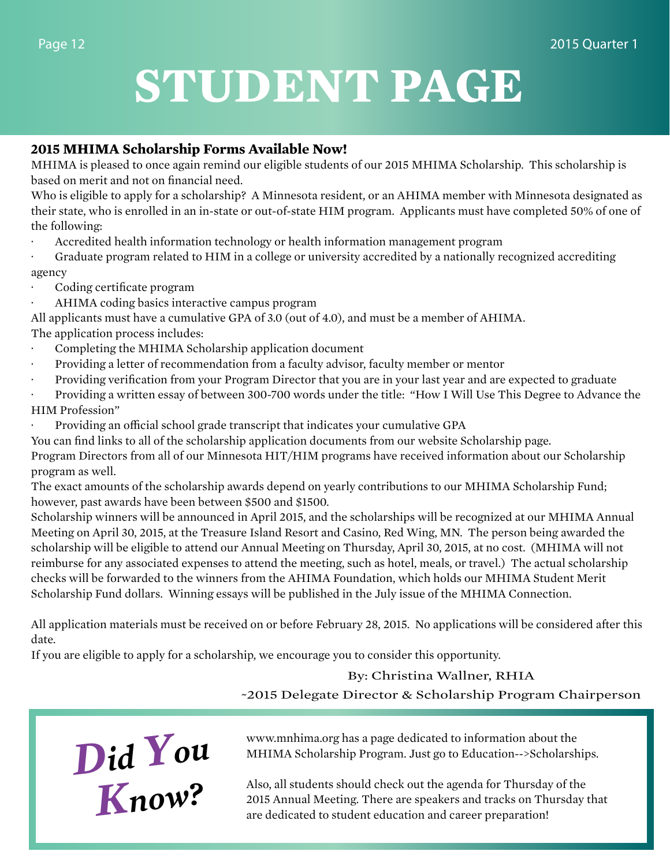## **STUDENT PAGE**

### **2015 MHIMA Scholarship Forms Available Now!**

MHIMA is pleased to once again remind our eligible students of our 2015 MHIMA Scholarship. This scholarship is based on merit and not on financial need.

Who is eligible to apply for a scholarship? A Minnesota resident, or an AHIMA member with Minnesota designated as their state, who is enrolled in an in-state or out-of-state HIM program. Applicants must have completed 50% of one of the following:

- · Accredited health information technology or health information management program
- · Graduate program related to HIM in a college or university accredited by a nationally recognized accrediting agency
- Coding certificate program
- AHIMA coding basics interactive campus program

All applicants must have a cumulative GPA of 3.0 (out of 4.0), and must be a member of AHIMA.

The application process includes:

- · Completing the MHIMA Scholarship application document
- · Providing a letter of recommendation from a faculty advisor, faculty member or mentor
- Providing verification from your Program Director that you are in your last year and are expected to graduate
- Providing a written essay of between 300-700 words under the title: "How I Will Use This Degree to Advance the HIM Profession"
- Providing an official school grade transcript that indicates your cumulative GPA

You can find links to all of the scholarship application documents from our website Scholarship page.

Program Directors from all of our Minnesota HIT/HIM programs have received information about our Scholarship program as well.

The exact amounts of the scholarship awards depend on yearly contributions to our MHIMA Scholarship Fund; however, past awards have been between \$500 and \$1500.

Scholarship winners will be announced in April 2015, and the scholarships will be recognized at our MHIMA Annual Meeting on April 30, 2015, at the Treasure Island Resort and Casino, Red Wing, MN. The person being awarded the scholarship will be eligible to attend our Annual Meeting on Thursday, April 30, 2015, at no cost. (MHIMA will not reimburse for any associated expenses to attend the meeting, such as hotel, meals, or travel.) The actual scholarship checks will be forwarded to the winners from the AHIMA Foundation, which holds our MHIMA Student Merit Scholarship Fund dollars. Winning essays will be published in the July issue of the MHIMA Connection.

All application materials must be received on or before February 28, 2015. No applications will be considered after this date.

If you are eligible to apply for a scholarship, we encourage you to consider this opportunity.

### By: Christina Wallner, RHIA

~2015 Delegate Director & Scholarship Program Chairperson



www.mnhima.org has a page dedicated to information about the MHIMA Scholarship Program. Just go to Education-->Scholarships.

Also, all students should check out the agenda for Thursday of the 2015 Annual Meeting. There are speakers and tracks on Thursday that are dedicated to student education and career preparation!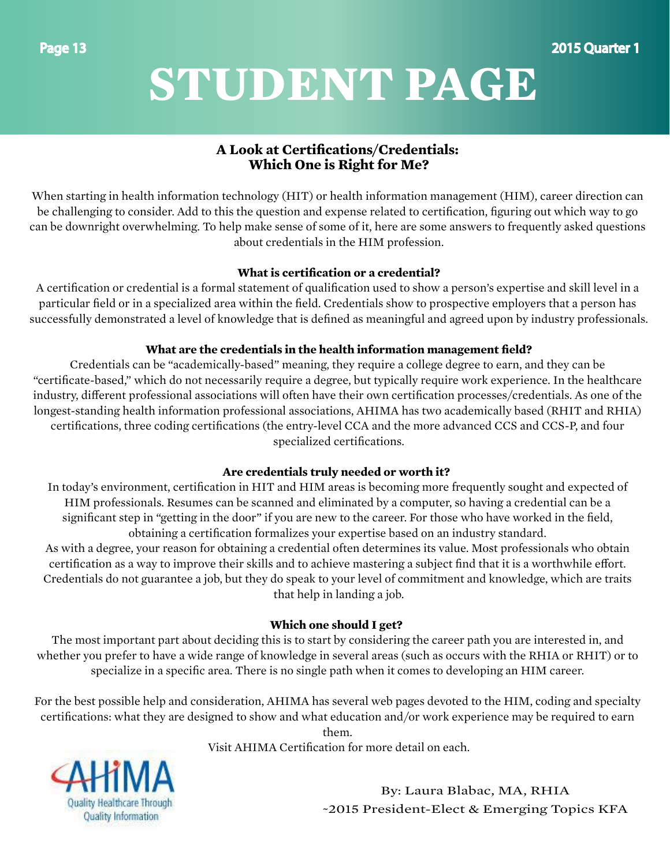## **STUDENT PAGE**

### **A Look at Certifications/Credentials: Which One is Right for Me?**

When starting in health information technology (HIT) or health information management (HIM), career direction can be challenging to consider. Add to this the question and expense related to certification, figuring out which way to go can be downright overwhelming. To help make sense of some of it, here are some answers to frequently asked questions about credentials in the HIM profession.

### **What is certification or a credential?**

A certification or credential is a formal statement of qualification used to show a person's expertise and skill level in a particular field or in a specialized area within the field. Credentials show to prospective employers that a person has successfully demonstrated a level of knowledge that is defined as meaningful and agreed upon by industry professionals.

### **What are the credentials in the health information management field?**

Credentials can be "academically-based" meaning, they require a college degree to earn, and they can be "certificate-based," which do not necessarily require a degree, but typically require work experience. In the healthcare industry, different professional associations will often have their own certification processes/credentials. As one of the longest-standing health information professional associations, AHIMA has two academically based (RHIT and RHIA) certifications, three coding certifications (the entry-level CCA and the more advanced CCS and CCS-P, and four specialized certifications.

### **Are credentials truly needed or worth it?**

In today's environment, certification in HIT and HIM areas is becoming more frequently sought and expected of HIM professionals. Resumes can be scanned and eliminated by a computer, so having a credential can be a significant step in "getting in the door" if you are new to the career. For those who have worked in the field, obtaining a certification formalizes your expertise based on an industry standard. As with a degree, your reason for obtaining a credential often determines its value. Most professionals who obtain certification as a way to improve their skills and to achieve mastering a subject find that it is a worthwhile effort. Credentials do not guarantee a job, but they do speak to your level of commitment and knowledge, which are traits

that help in landing a job.

### **Which one should I get?**

The most important part about deciding this is to start by considering the career path you are interested in, and whether you prefer to have a wide range of knowledge in several areas (such as occurs with the RHIA or RHIT) or to specialize in a specific area. There is no single path when it comes to developing an HIM career.

For the best possible help and consideration, AHIMA has several web pages devoted to the HIM, coding and specialty certifications: what they are designed to show and what education and/or work experience may be required to earn

them.

Visit AHIMA Certification for more detail on each.



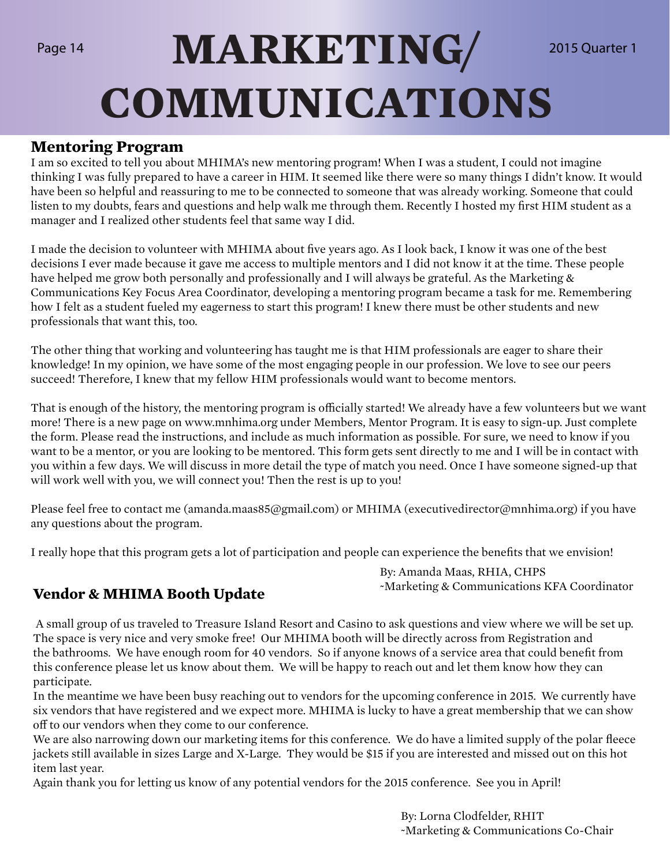## Page 14 **MARKETING** 2015 Quarter 1 **COMMUNICATIONS**

### **Mentoring Program**

I am so excited to tell you about MHIMA's new mentoring program! When I was a student, I could not imagine thinking I was fully prepared to have a career in HIM. It seemed like there were so many things I didn't know. It would have been so helpful and reassuring to me to be connected to someone that was already working. Someone that could listen to my doubts, fears and questions and help walk me through them. Recently I hosted my first HIM student as a manager and I realized other students feel that same way I did.

I made the decision to volunteer with MHIMA about five years ago. As I look back, I know it was one of the best decisions I ever made because it gave me access to multiple mentors and I did not know it at the time. These people have helped me grow both personally and professionally and I will always be grateful. As the Marketing & Communications Key Focus Area Coordinator, developing a mentoring program became a task for me. Remembering how I felt as a student fueled my eagerness to start this program! I knew there must be other students and new professionals that want this, too.

The other thing that working and volunteering has taught me is that HIM professionals are eager to share their knowledge! In my opinion, we have some of the most engaging people in our profession. We love to see our peers succeed! Therefore, I knew that my fellow HIM professionals would want to become mentors.

That is enough of the history, the mentoring program is officially started! We already have a few volunteers but we want more! There is a new page on www.mnhima.org under Members, Mentor Program. It is easy to sign-up. Just complete the form. Please read the instructions, and include as much information as possible. For sure, we need to know if you want to be a mentor, or you are looking to be mentored. This form gets sent directly to me and I will be in contact with you within a few days. We will discuss in more detail the type of match you need. Once I have someone signed-up that will work well with you, we will connect you! Then the rest is up to you!

Please feel free to contact me (amanda.maas85@gmail.com) or MHIMA (executivedirector@mnhima.org) if you have any questions about the program.

I really hope that this program gets a lot of participation and people can experience the benefits that we envision!

By: Amanda Maas, RHIA, CHPS ~Marketing & Communications KFA Coordinator **Vendor & MHIMA Booth Update**

 A small group of us traveled to Treasure Island Resort and Casino to ask questions and view where we will be set up. The space is very nice and very smoke free! Our MHIMA booth will be directly across from Registration and the bathrooms. We have enough room for 40 vendors. So if anyone knows of a service area that could benefit from this conference please let us know about them. We will be happy to reach out and let them know how they can participate.

In the meantime we have been busy reaching out to vendors for the upcoming conference in 2015. We currently have six vendors that have registered and we expect more. MHIMA is lucky to have a great membership that we can show off to our vendors when they come to our conference.

We are also narrowing down our marketing items for this conference. We do have a limited supply of the polar fleece jackets still available in sizes Large and X-Large. They would be \$15 if you are interested and missed out on this hot item last year.

Again thank you for letting us know of any potential vendors for the 2015 conference. See you in April!

By: Lorna Clodfelder, RHIT ~Marketing & Communications Co-Chair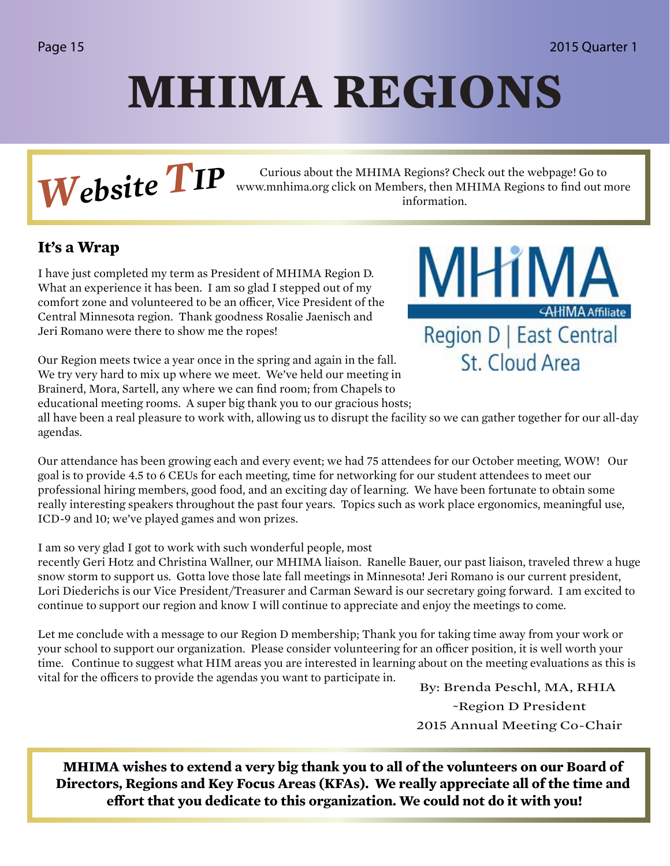## **MHIMA REGIONS**

**Website TP** Curious about the MHIMA Regions? Check out the webpage! Go to www.mnhima.org click on Members, then MHIMA Regions to find out n information. www.mnhima.org click on Members, then MHIMA Regions to find out more information.

### **It's a Wrap**

I have just completed my term as President of MHIMA Region D. What an experience it has been. I am so glad I stepped out of my comfort zone and volunteered to be an officer, Vice President of the Central Minnesota region. Thank goodness Rosalie Jaenisch and Jeri Romano were there to show me the ropes!



Our Region meets twice a year once in the spring and again in the fall. We try very hard to mix up where we meet. We've held our meeting in Brainerd, Mora, Sartell, any where we can find room; from Chapels to educational meeting rooms. A super big thank you to our gracious hosts;

all have been a real pleasure to work with, allowing us to disrupt the facility so we can gather together for our all-day agendas.

Our attendance has been growing each and every event; we had 75 attendees for our October meeting, WOW! Our goal is to provide 4.5 to 6 CEUs for each meeting, time for networking for our student attendees to meet our professional hiring members, good food, and an exciting day of learning. We have been fortunate to obtain some really interesting speakers throughout the past four years. Topics such as work place ergonomics, meaningful use, ICD-9 and 10; we've played games and won prizes.

I am so very glad I got to work with such wonderful people, most

recently Geri Hotz and Christina Wallner, our MHIMA liaison. Ranelle Bauer, our past liaison, traveled threw a huge snow storm to support us. Gotta love those late fall meetings in Minnesota! Jeri Romano is our current president, Lori Diederichs is our Vice President/Treasurer and Carman Seward is our secretary going forward. I am excited to continue to support our region and know I will continue to appreciate and enjoy the meetings to come.

Let me conclude with a message to our Region D membership; Thank you for taking time away from your work or your school to support our organization. Please consider volunteering for an officer position, it is well worth your time. Continue to suggest what HIM areas you are interested in learning about on the meeting evaluations as this is vital for the officers to provide the agendas you want to participate in.

By: Brenda Peschl, MA, RHIA ~Region D President 2015 Annual Meeting Co-Chair

**MHIMA wishes to extend a very big thank you to all of the volunteers on our Board of Directors, Regions and Key Focus Areas (KFAs). We really appreciate all of the time and effort that you dedicate to this organization. We could not do it with you!**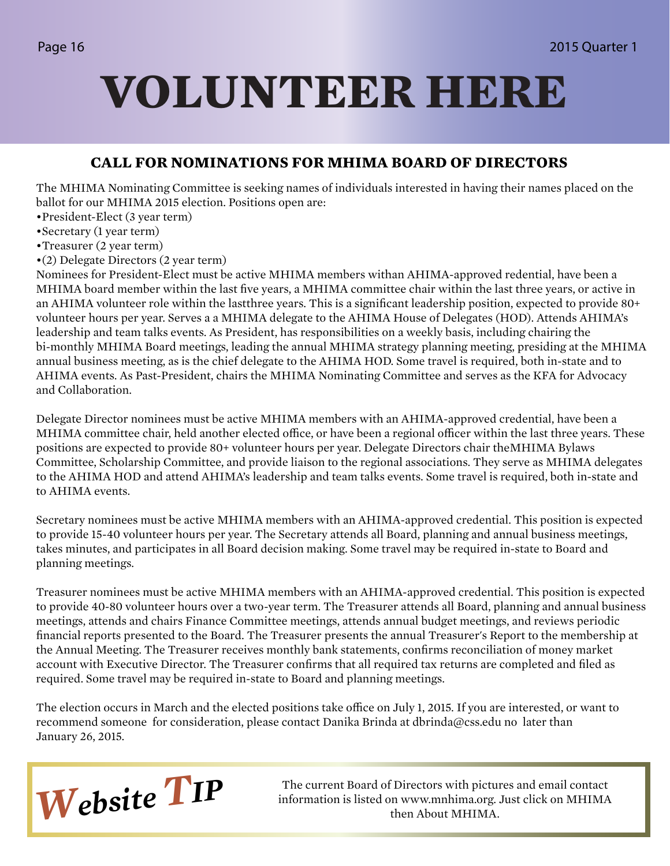## **VOLUNTEER HERE**

### **CALL FOR NOMINATIONS FOR MHIMA BOARD OF DIRECTORS**

The MHIMA Nominating Committee is seeking names of individuals interested in having their names placed on the ballot for our MHIMA 2015 election. Positions open are:

- •President-Elect (3 year term)
- •Secretary (1 year term)
- •Treasurer (2 year term)
- •(2) Delegate Directors (2 year term)

Nominees for President-Elect must be active MHIMA members withan AHIMA-approved redential, have been a MHIMA board member within the last five years, a MHIMA committee chair within the last three years, or active in an AHIMA volunteer role within the lastthree years. This is a significant leadership position, expected to provide 80+ volunteer hours per year. Serves a a MHIMA delegate to the AHIMA House of Delegates (HOD). Attends AHIMA's leadership and team talks events. As President, has responsibilities on a weekly basis, including chairing the bi-monthly MHIMA Board meetings, leading the annual MHIMA strategy planning meeting, presiding at the MHIMA annual business meeting, as is the chief delegate to the AHIMA HOD. Some travel is required, both in-state and to AHIMA events. As Past-President, chairs the MHIMA Nominating Committee and serves as the KFA for Advocacy and Collaboration.

Delegate Director nominees must be active MHIMA members with an AHIMA-approved credential, have been a MHIMA committee chair, held another elected office, or have been a regional officer within the last three years. These positions are expected to provide 80+ volunteer hours per year. Delegate Directors chair theMHIMA Bylaws Committee, Scholarship Committee, and provide liaison to the regional associations. They serve as MHIMA delegates to the AHIMA HOD and attend AHIMA's leadership and team talks events. Some travel is required, both in-state and to AHIMA events.

Secretary nominees must be active MHIMA members with an AHIMA-approved credential. This position is expected to provide 15-40 volunteer hours per year. The Secretary attends all Board, planning and annual business meetings, takes minutes, and participates in all Board decision making. Some travel may be required in-state to Board and planning meetings.

Treasurer nominees must be active MHIMA members with an AHIMA-approved credential. This position is expected to provide 40-80 volunteer hours over a two-year term. The Treasurer attends all Board, planning and annual business meetings, attends and chairs Finance Committee meetings, attends annual budget meetings, and reviews periodic financial reports presented to the Board. The Treasurer presents the annual Treasurer's Report to the membership at the Annual Meeting. The Treasurer receives monthly bank statements, confirms reconciliation of money market account with Executive Director. The Treasurer confirms that all required tax returns are completed and filed as required. Some travel may be required in-state to Board and planning meetings.

The election occurs in March and the elected positions take office on July 1, 2015. If you are interested, or want to recommend someone for consideration, please contact Danika Brinda at dbrinda@css.edu no later than January 26, 2015.



**Website TIP** The current Board of Directors with pictures and email contact information is listed on www.mnhima.org. Just click on MHIMA information is listed on www.mnhima.org. Just click on MHIMA then About MHIMA.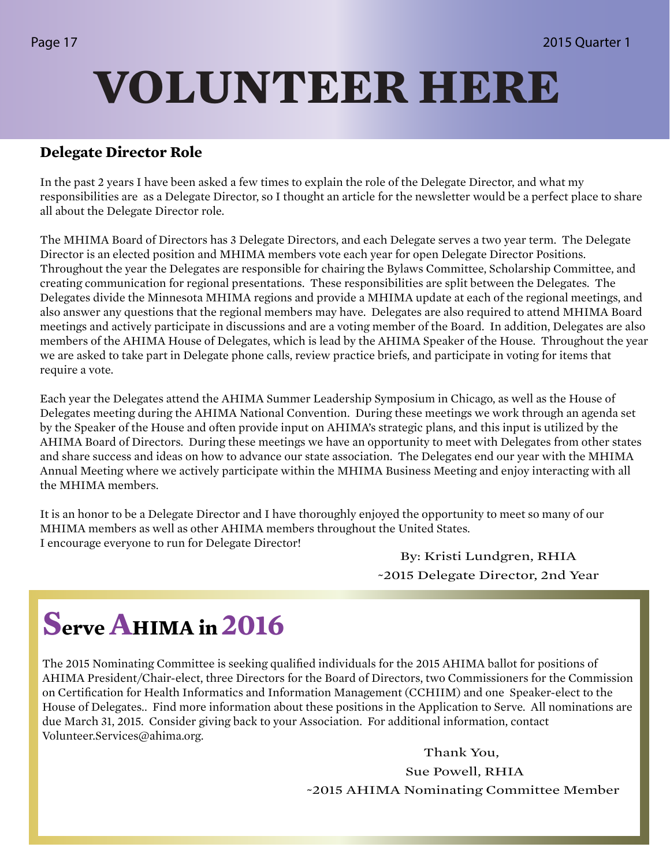## **VOLUNTEER HERE**

### **Delegate Director Role**

In the past 2 years I have been asked a few times to explain the role of the Delegate Director, and what my responsibilities are as a Delegate Director, so I thought an article for the newsletter would be a perfect place to share all about the Delegate Director role.

The MHIMA Board of Directors has 3 Delegate Directors, and each Delegate serves a two year term. The Delegate Director is an elected position and MHIMA members vote each year for open Delegate Director Positions. Throughout the year the Delegates are responsible for chairing the Bylaws Committee, Scholarship Committee, and creating communication for regional presentations. These responsibilities are split between the Delegates. The Delegates divide the Minnesota MHIMA regions and provide a MHIMA update at each of the regional meetings, and also answer any questions that the regional members may have. Delegates are also required to attend MHIMA Board meetings and actively participate in discussions and are a voting member of the Board. In addition, Delegates are also members of the AHIMA House of Delegates, which is lead by the AHIMA Speaker of the House. Throughout the year we are asked to take part in Delegate phone calls, review practice briefs, and participate in voting for items that require a vote.

Each year the Delegates attend the AHIMA Summer Leadership Symposium in Chicago, as well as the House of Delegates meeting during the AHIMA National Convention. During these meetings we work through an agenda set by the Speaker of the House and often provide input on AHIMA's strategic plans, and this input is utilized by the AHIMA Board of Directors. During these meetings we have an opportunity to meet with Delegates from other states and share success and ideas on how to advance our state association. The Delegates end our year with the MHIMA Annual Meeting where we actively participate within the MHIMA Business Meeting and enjoy interacting with all the MHIMA members.

It is an honor to be a Delegate Director and I have thoroughly enjoyed the opportunity to meet so many of our MHIMA members as well as other AHIMA members throughout the United States. I encourage everyone to run for Delegate Director!

By: Kristi Lundgren, RHIA ~2015 Delegate Director, 2nd Year

### **Serve AHIMA in 2016**

The 2015 Nominating Committee is seeking qualified individuals for the 2015 AHIMA ballot for positions of AHIMA President/Chair-elect, three Directors for the Board of Directors, two Commissioners for the Commission on Certification for Health Informatics and Information Management (CCHIIM) and one Speaker-elect to the House of Delegates.. Find more information about these positions in the Application to Serve. All nominations are due March 31, 2015. Consider giving back to your Association. For additional information, contact Volunteer.Services@ahima.org.

Thank You,

 Sue Powell, RHIA ~2015 AHIMA Nominating Committee Member